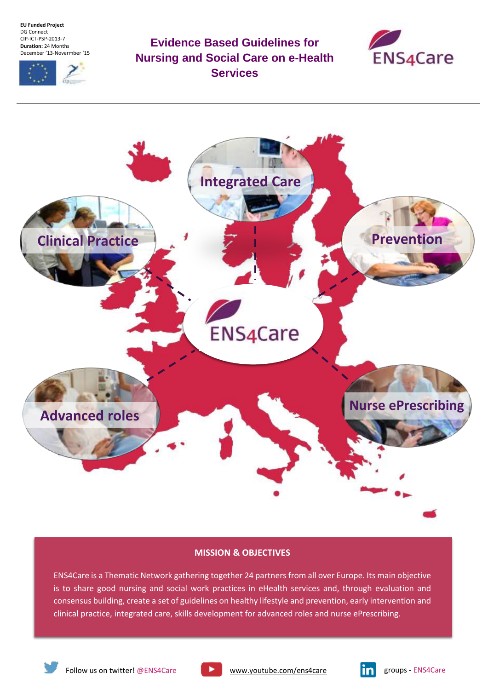**EU Funded Project** DG Connect CIP-ICT-PSP-2013-7 **Duration:** 24 Months December '13-Novermber '15



**Evidence Based Guidelines for Nursing and Social Care on e-Health Services**





# **MISSION & OBJECTIVES**

ENS4Care is a Thematic Network gathering together 24 partners from all over Europe. Its main objective is to share good nursing and social work practices in eHealth services and, through evaluation and consensus building, create a set of guidelines on healthy lifestyle and prevention, early intervention and clinical practice, integrated care, skills development for advanced roles and nurse ePrescribing.



Follow us on twitter! @ENS4Care **witch the [www.youtube.com/ens4care](http://www.youtube.com/ens4care) groups - ENS4Care**